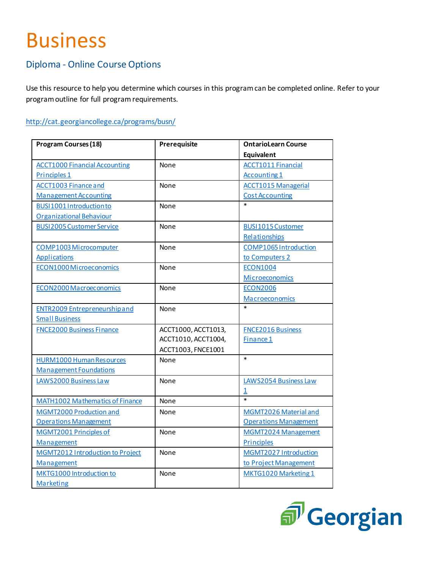## Business

## Diploma - Online Course Options

Use this resource to help you determine which courses in this program can be completed online. Refer to your program outline for full program requirements.

## <http://cat.georgiancollege.ca/programs/busn/>

| <b>Program Courses (18)</b>          | Prerequisite        | <b>OntarioLearn Course</b>   |
|--------------------------------------|---------------------|------------------------------|
|                                      |                     | <b>Equivalent</b>            |
| <b>ACCT1000 Financial Accounting</b> | None                | <b>ACCT1011 Financial</b>    |
| Principles <sub>1</sub>              |                     | Accounting 1                 |
| <b>ACCT1003 Finance and</b>          | None                | <b>ACCT1015 Managerial</b>   |
| <b>Management Accounting</b>         |                     | <b>Cost Accounting</b>       |
| BUSI1001 Introduction to             | None                | $\ast$                       |
| Organizational Behaviour             |                     |                              |
| <b>BUSI2005 Customer Service</b>     | None                | <b>BUSI1015 Customer</b>     |
|                                      |                     | Relationships                |
| <b>COMP1003 Microcomputer</b>        | None                | <b>COMP1065 Introduction</b> |
| <b>Applications</b>                  |                     | to Computers 2               |
| <b>ECON1000 Microeconomics</b>       | None                | <b>ECON1004</b>              |
|                                      |                     | <b>Microeconomics</b>        |
| ECON2000 Macroeconomics              | None                | <b>ECON2006</b>              |
|                                      |                     | Macroeconomics               |
| <b>ENTR2009 Entrepreneurship and</b> | None                | $\ast$                       |
| <b>Small Business</b>                |                     |                              |
| <b>FNCE2000 Business Finance</b>     | ACCT1000, ACCT1013, | <b>FNCE2016 Business</b>     |
|                                      | ACCT1010, ACCT1004, | Finance 1                    |
|                                      | ACCT1003, FNCE1001  |                              |
| <b>HURM1000 Human Resources</b>      | None                | $\ast$                       |
| <b>Management Foundations</b>        |                     |                              |
| LAWS2000 Business Law                | None                | LAWS2054 Business Law        |
|                                      |                     | $\overline{\mathbf{1}}$      |
| MATH1002 Mathematics of Finance      | None                | $\overline{\ast}$            |
| MGMT2000 Production and              | None                | MGMT2026 Material and        |
| <b>Operations Management</b>         |                     | <b>Operations Management</b> |
| MGMT2001 Principles of               | None                | MGMT2024 Management          |
| Management                           |                     | <b>Principles</b>            |
| MGMT2012 Introduction to Project     | None                | MGMT2027 Introduction        |
| Management                           |                     | to Project Management        |
| MKTG1000 Introduction to             | None                | MKTG1020 Marketing 1         |
| Marketing                            |                     |                              |

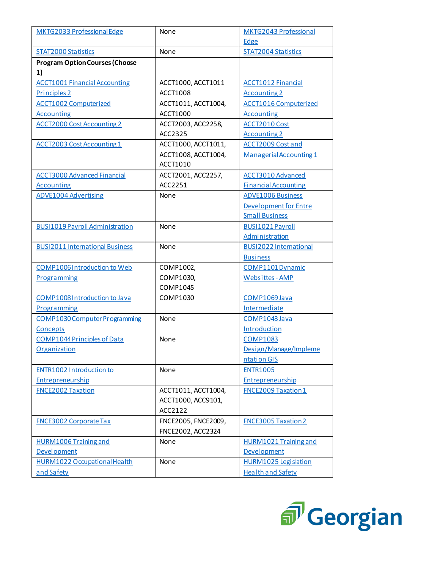| MKTG2033 Professional Edge                     | None                | MKTG2043 Professional                    |
|------------------------------------------------|---------------------|------------------------------------------|
|                                                |                     | Edge                                     |
| <b>STAT2000 Statistics</b>                     | None                | <b>STAT2004 Statistics</b>               |
| <b>Program Option Courses (Choose</b>          |                     |                                          |
| 1)                                             |                     |                                          |
| <b>ACCT1001 Financial Accounting</b>           | ACCT1000, ACCT1011  | <b>ACCT1012 Financial</b>                |
| Principles 2                                   | <b>ACCT1008</b>     | <b>Accounting 2</b>                      |
| <b>ACCT1002 Computerized</b>                   | ACCT1011, ACCT1004, | <b>ACCT1016 Computerized</b>             |
| <b>Accounting</b>                              | <b>ACCT1000</b>     | <b>Accounting</b>                        |
| <b>ACCT2000 Cost Accounting 2</b>              | ACCT2003, ACC2258,  | <b>ACCT2010 Cost</b>                     |
|                                                | ACC2325             | <b>Accounting 2</b>                      |
| <b>ACCT2003 Cost Accounting 1</b>              | ACCT1000, ACCT1011, | <b>ACCT2009 Cost and</b>                 |
|                                                | ACCT1008, ACCT1004, | Managerial Accounting 1                  |
|                                                | ACCT1010            |                                          |
| <b>ACCT3000 Advanced Financial</b>             | ACCT2001, ACC2257,  | <b>ACCT3010 Advanced</b>                 |
| <b>Accounting</b>                              | ACC2251             | <b>Financial Accounting</b>              |
| <b>ADVE1004 Advertising</b>                    | None                | <b>ADVE1006 Business</b>                 |
|                                                |                     | Development for Entre                    |
|                                                |                     | <b>Small Business</b>                    |
| <b>BUSI1019 Payroll Administration</b>         | None                | BUSI1021 Payroll                         |
|                                                |                     | Administration                           |
| <b>BUSI2011International Business</b>          | None                | BUSI2022 International                   |
|                                                |                     | <b>Business</b>                          |
| COMP1006 Introduction to Web                   | COMP1002,           | <b>COMP1101 Dynamic</b>                  |
| Programming                                    | COMP1030,           | Websittes - AMP                          |
|                                                | COMP1045            |                                          |
| COMP1008 Introduction to Java                  | COMP1030            | COMP1069 Java                            |
| Programming                                    |                     | Intermediate                             |
| <b>COMP1030 Computer Programming</b>           | None                | COMP1043 Java                            |
| Concepts<br><b>COMP1044 Principles of Data</b> | None                | Introduction                             |
| Organization                                   |                     | <b>COMP1083</b><br>Design/Manage/Impleme |
|                                                |                     | ntation GIS                              |
| ENTR1002 Introduction to                       | None                | <b>ENTR1005</b>                          |
| Entrepreneurship                               |                     | Entrepreneurship                         |
| <b>FNCE2002 Taxation</b>                       | ACCT1011, ACCT1004, | <b>FNCE2009 Taxation 1</b>               |
|                                                | ACCT1000, ACC9101,  |                                          |
|                                                | ACC2122             |                                          |
| <b>FNCE3002 Corporate Tax</b>                  | FNCE2005, FNCE2009, | <b>FNCE3005 Taxation 2</b>               |
|                                                | FNCE2002, ACC2324   |                                          |
| <b>HURM1006 Training and</b>                   | None                | <b>HURM1021 Training and</b>             |
| Development                                    |                     | Development                              |
| <b>HURM1022 Occupational Health</b>            | None                | <b>HURM1025 Legislation</b>              |
| and Safety                                     |                     | <b>Health and Safety</b>                 |
|                                                |                     |                                          |

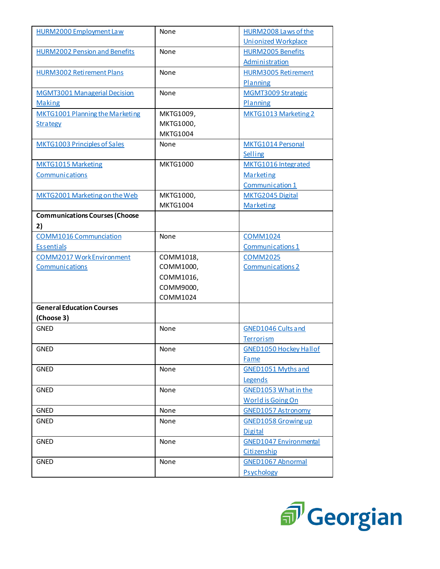| <b>HURM2000 Employment Law</b>        | None            | HURM2008 Laws of the          |
|---------------------------------------|-----------------|-------------------------------|
|                                       |                 | <b>Unionized Workplace</b>    |
| <b>HURM2002 Pension and Benefits</b>  | None            | <b>HURM2005 Benefits</b>      |
|                                       |                 | Administration                |
| <b>HURM3002 Retirement Plans</b>      | None            | <b>HURM3005 Retirement</b>    |
|                                       |                 | Planning                      |
| <b>MGMT3001 Managerial Decision</b>   | None            | <b>MGMT3009 Strategic</b>     |
| <b>Making</b>                         |                 | Planning                      |
| MKTG1001 Planning the Marketing       | MKTG1009,       | MKTG1013 Marketing 2          |
| <b>Strategy</b>                       | MKTG1000,       |                               |
|                                       | <b>MKTG1004</b> |                               |
| <b>MKTG1003 Principles of Sales</b>   | None            | MKTG1014 Personal             |
|                                       |                 | Selling                       |
| <b>MKTG1015 Marketing</b>             | <b>MKTG1000</b> | MKTG1016 Integrated           |
| Communications                        |                 | <b>Marketing</b>              |
|                                       |                 | Communication 1               |
| MKTG2001 Marketing on the Web         | MKTG1000,       | MKTG2045 Digital              |
|                                       | <b>MKTG1004</b> | Marketing                     |
| <b>Communications Courses (Choose</b> |                 |                               |
| 2)                                    |                 |                               |
| <b>COMM1016 Communciation</b>         | None            | <b>COMM1024</b>               |
| <b>Essentials</b>                     |                 | Communications 1              |
| <b>COMM2017 Work Environment</b>      | COMM1018,       | <b>COMM2025</b>               |
| Communications                        | COMM1000,       | <b>Communications 2</b>       |
|                                       | COMM1016,       |                               |
|                                       | COMM9000,       |                               |
|                                       | COMM1024        |                               |
| <b>General Education Courses</b>      |                 |                               |
| (Choose 3)                            |                 |                               |
| <b>GNED</b>                           | None            | <b>GNED1046 Cults and</b>     |
|                                       |                 | Terrorism                     |
| <b>GNED</b>                           | None            | <b>GNED1050 Hockey Hallof</b> |
|                                       |                 | Fame                          |
| <b>GNED</b>                           | None            | <b>GNED1051 Myths and</b>     |
|                                       |                 | Legends                       |
| <b>GNED</b>                           | None            | <b>GNED1053 What in the</b>   |
|                                       |                 | <b>World is Going On</b>      |
| <b>GNED</b>                           | None            | <b>GNED1057 Astronomy</b>     |
| <b>GNED</b>                           | None            | <b>GNED1058 Growing up</b>    |
|                                       |                 | <b>Digital</b>                |
| <b>GNED</b>                           | None            | <b>GNED1047 Environmental</b> |
|                                       |                 | Citizenship                   |
| <b>GNED</b>                           | None            | <b>GNED1067 Abnormal</b>      |
|                                       |                 | Psychology                    |